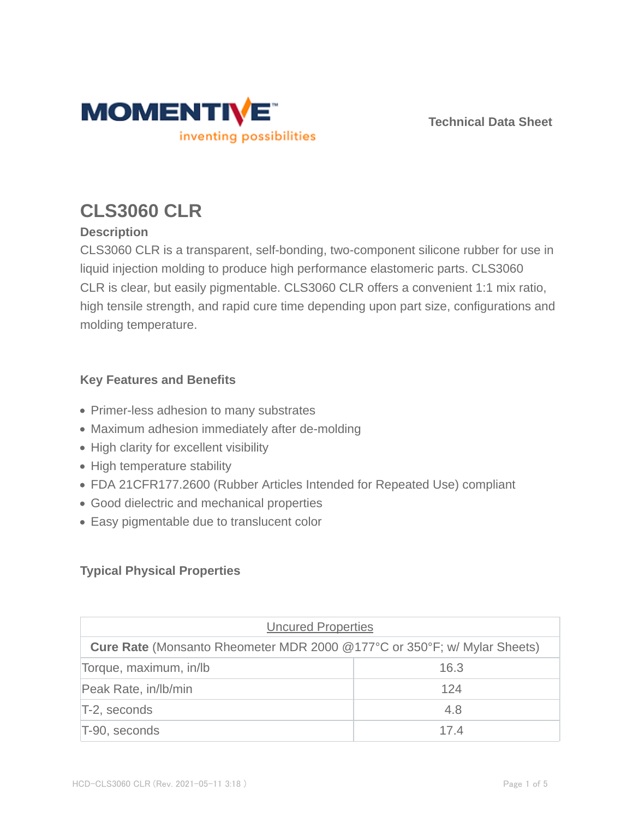

**Technical Data Sheet**

# **CLS3060 CLR**

# **Description**

CLS3060 CLR is a transparent, self-bonding, two-component silicone rubber for use in liquid injection molding to produce high performance elastomeric parts. CLS3060 CLR is clear, but easily pigmentable. CLS3060 CLR offers a convenient 1:1 mix ratio, high tensile strength, and rapid cure time depending upon part size, configurations and molding temperature.

## **Key Features and Benefits**

- Primer-less adhesion to many substrates
- Maximum adhesion immediately after de-molding
- High clarity for excellent visibility
- High temperature stability
- FDA 21CFR177.2600 (Rubber Articles Intended for Repeated Use) compliant
- Good dielectric and mechanical properties
- Easy pigmentable due to translucent color

# **Typical Physical Properties**

| <b>Uncured Properties</b>                                                       |      |  |  |
|---------------------------------------------------------------------------------|------|--|--|
| <b>Cure Rate</b> (Monsanto Rheometer MDR 2000 @177°C or 350°F; w/ Mylar Sheets) |      |  |  |
| Torque, maximum, in/lb                                                          | 16.3 |  |  |
| Peak Rate, in/lb/min                                                            | 124  |  |  |
| T-2, seconds                                                                    | 4.8  |  |  |
| T-90, seconds                                                                   | 174  |  |  |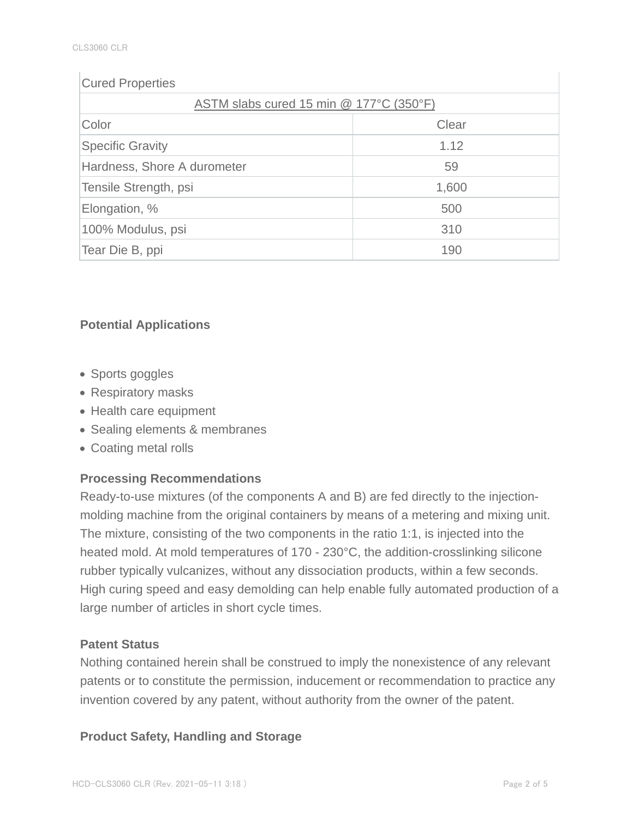## Cured Properties

| ASTM slabs cured 15 min @ 177°C (350°F) |       |  |  |
|-----------------------------------------|-------|--|--|
| Color                                   | Clear |  |  |
| <b>Specific Gravity</b>                 | 1.12  |  |  |
| Hardness, Shore A durometer             | 59    |  |  |
| Tensile Strength, psi                   | 1,600 |  |  |
| Elongation, %                           | 500   |  |  |
| 100% Modulus, psi                       | 310   |  |  |
| Tear Die B, ppi                         | 190   |  |  |

# **Potential Applications**

- Sports goggles
- Respiratory masks
- Health care equipment
- Sealing elements & membranes
- Coating metal rolls

# **Processing Recommendations**

Ready-to-use mixtures (of the components A and B) are fed directly to the injectionmolding machine from the original containers by means of a metering and mixing unit. The mixture, consisting of the two components in the ratio 1:1, is injected into the heated mold. At mold temperatures of 170 - 230°C, the addition-crosslinking silicone rubber typically vulcanizes, without any dissociation products, within a few seconds. High curing speed and easy demolding can help enable fully automated production of a large number of articles in short cycle times.

## **Patent Status**

Nothing contained herein shall be construed to imply the nonexistence of any relevant patents or to constitute the permission, inducement or recommendation to practice any invention covered by any patent, without authority from the owner of the patent.

## **Product Safety, Handling and Storage**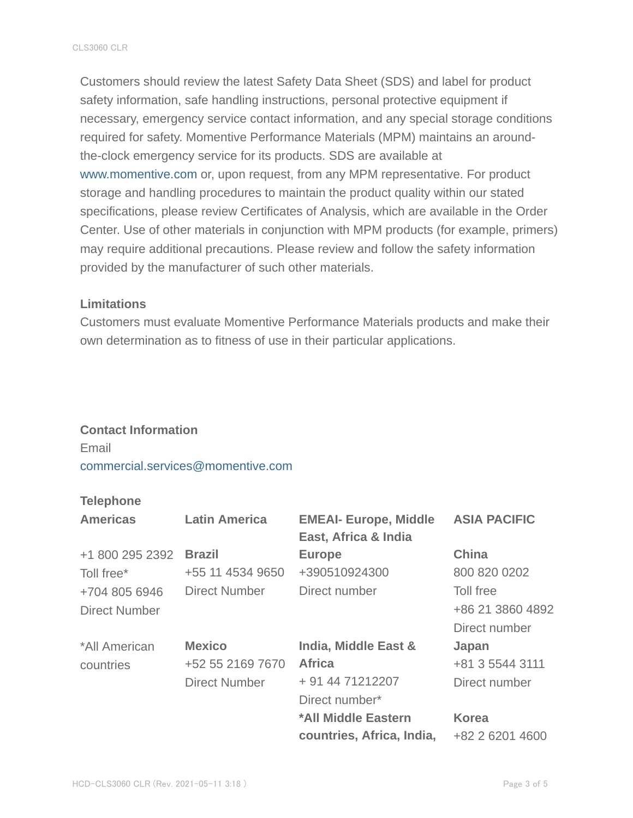Customers should review the latest Safety Data Sheet (SDS) and label for product safety information, safe handling instructions, personal protective equipment if necessary, emergency service contact information, and any special storage conditions required for safety. Momentive Performance Materials (MPM) maintains an aroundthe-clock emergency service for its products. SDS are available at www.momentive.com or, upon request, from any MPM representative. For product storage and handling procedures to maintain the product quality within our stated specifications, please review Certificates of Analysis, which are available in the Order Center. Use of other materials in conjunction with MPM products (for example, primers) may require additional precautions. Please review and follow the safety information provided by the manufacturer of such other materials.

#### **Limitations**

Customers must evaluate Momentive Performance Materials products and make their own determination as to fitness of use in their particular applications.

#### **Contact Information**

Email commercial.services@momentive.com

# **Telephone**

| <b>Americas</b>      | <b>Latin America</b> | <b>EMEAI- Europe, Middle</b><br>East, Africa & India | <b>ASIA PACIFIC</b> |
|----------------------|----------------------|------------------------------------------------------|---------------------|
| +1 800 295 2392      | <b>Brazil</b>        | <b>Europe</b>                                        | <b>China</b>        |
| Toll free*           | +55 11 4534 9650     | +390510924300                                        | 800 820 0202        |
| +704 805 6946        | <b>Direct Number</b> | Direct number                                        | Toll free           |
| <b>Direct Number</b> |                      |                                                      | +86 21 3860 4892    |
|                      |                      |                                                      | Direct number       |
| *All American        | <b>Mexico</b>        | India, Middle East &                                 | Japan               |
| countries            | +52 55 2169 7670     | <b>Africa</b>                                        | +81 3 5544 3111     |
|                      | <b>Direct Number</b> | + 91 44 71212207                                     | Direct number       |
|                      |                      | Direct number*                                       |                     |
|                      |                      | *All Middle Eastern                                  | <b>Korea</b>        |
|                      |                      | countries, Africa, India,                            | +82 2 6201 4600     |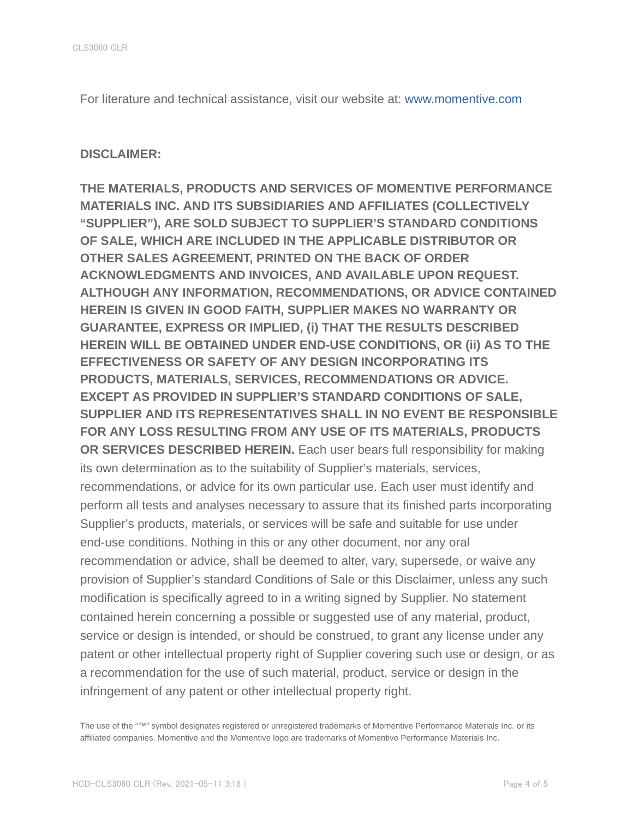For literature and technical assistance, visit our website at: www.momentive.com

#### **DISCLAIMER:**

**THE MATERIALS, PRODUCTS AND SERVICES OF MOMENTIVE PERFORMANCE MATERIALS INC. AND ITS SUBSIDIARIES AND AFFILIATES (COLLECTIVELY "SUPPLIER"), ARE SOLD SUBJECT TO SUPPLIER'S STANDARD CONDITIONS OF SALE, WHICH ARE INCLUDED IN THE APPLICABLE DISTRIBUTOR OR OTHER SALES AGREEMENT, PRINTED ON THE BACK OF ORDER ACKNOWLEDGMENTS AND INVOICES, AND AVAILABLE UPON REQUEST. ALTHOUGH ANY INFORMATION, RECOMMENDATIONS, OR ADVICE CONTAINED HEREIN IS GIVEN IN GOOD FAITH, SUPPLIER MAKES NO WARRANTY OR GUARANTEE, EXPRESS OR IMPLIED, (i) THAT THE RESULTS DESCRIBED HEREIN WILL BE OBTAINED UNDER END-USE CONDITIONS, OR (ii) AS TO THE EFFECTIVENESS OR SAFETY OF ANY DESIGN INCORPORATING ITS PRODUCTS, MATERIALS, SERVICES, RECOMMENDATIONS OR ADVICE. EXCEPT AS PROVIDED IN SUPPLIER'S STANDARD CONDITIONS OF SALE, SUPPLIER AND ITS REPRESENTATIVES SHALL IN NO EVENT BE RESPONSIBLE FOR ANY LOSS RESULTING FROM ANY USE OF ITS MATERIALS, PRODUCTS OR SERVICES DESCRIBED HEREIN.** Each user bears full responsibility for making its own determination as to the suitability of Supplier's materials, services, recommendations, or advice for its own particular use. Each user must identify and perform all tests and analyses necessary to assure that its finished parts incorporating Supplier's products, materials, or services will be safe and suitable for use under end-use conditions. Nothing in this or any other document, nor any oral recommendation or advice, shall be deemed to alter, vary, supersede, or waive any provision of Supplier's standard Conditions of Sale or this Disclaimer, unless any such modification is specifically agreed to in a writing signed by Supplier. No statement contained herein concerning a possible or suggested use of any material, product, service or design is intended, or should be construed, to grant any license under any patent or other intellectual property right of Supplier covering such use or design, or as a recommendation for the use of such material, product, service or design in the infringement of any patent or other intellectual property right.

The use of the "™" symbol designates registered or unregistered trademarks of Momentive Performance Materials Inc. or its affiliated companies. Momentive and the Momentive logo are trademarks of Momentive Performance Materials Inc.